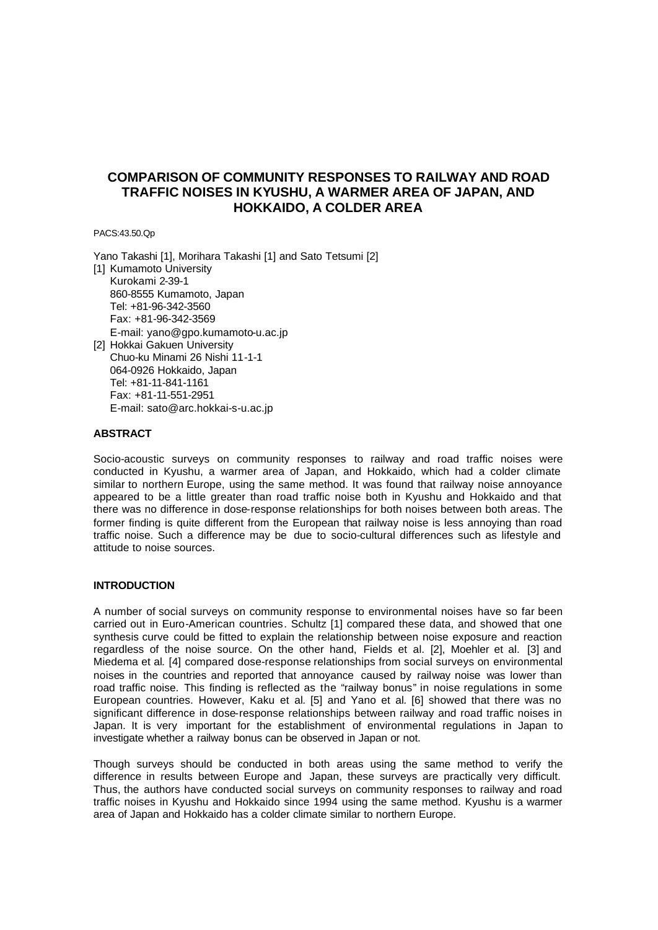# **COMPARISON OF COMMUNITY RESPONSES TO RAILWAY AND ROAD TRAFFIC NOISES IN KYUSHU, A WARMER AREA OF JAPAN, AND HOKKAIDO, A COLDER AREA**

PACS:43.50.Qp

Yano Takashi [1], Morihara Takashi [1] and Sato Tetsumi [2] [1] Kumamoto University Kurokami 2-39-1 860-8555 Kumamoto, Japan Tel: +81-96-342-3560 Fax: +81-96-342-3569 E-mail: yano@gpo.kumamoto-u.ac.jp [2] Hokkai Gakuen University Chuo-ku Minami 26 Nishi 11-1-1 064-0926 Hokkaido, Japan

Tel: +81-11-841-1161 Fax: +81-11-551-2951 E-mail: sato@arc.hokkai-s-u.ac.jp

#### **ABSTRACT**

Socio-acoustic surveys on community responses to railway and road traffic noises were conducted in Kyushu, a warmer area of Japan, and Hokkaido, which had a colder climate similar to northern Europe, using the same method. It was found that railway noise annoyance appeared to be a little greater than road traffic noise both in Kyushu and Hokkaido and that there was no difference in dose-response relationships for both noises between both areas. The former finding is quite different from the European that railway noise is less annoying than road traffic noise. Such a difference may be due to socio-cultural differences such as lifestyle and attitude to noise sources.

#### **INTRODUCTION**

A number of social surveys on community response to environmental noises have so far been carried out in Euro-American countries. Schultz [1] compared these data, and showed that one synthesis curve could be fitted to explain the relationship between noise exposure and reaction regardless of the noise source. On the other hand, Fields et al. [2], Moehler et al. [3] and Miedema et al*.* [4] compared dose-response relationships from social surveys on environmental noises in the countries and reported that annoyance caused by railway noise was lower than road traffic noise. This finding is reflected as the "railway bonus" in noise regulations in some European countries. However, Kaku et al*.* [5] and Yano et al*.* [6] showed that there was no significant difference in dose-response relationships between railway and road traffic noises in Japan. It is very important for the establishment of environmental regulations in Japan to investigate whether a railway bonus can be observed in Japan or not.

Though surveys should be conducted in both areas using the same method to verify the difference in results between Europe and Japan, these surveys are practically very difficult. Thus, the authors have conducted social surveys on community responses to railway and road traffic noises in Kyushu and Hokkaido since 1994 using the same method. Kyushu is a warmer area of Japan and Hokkaido has a colder climate similar to northern Europe.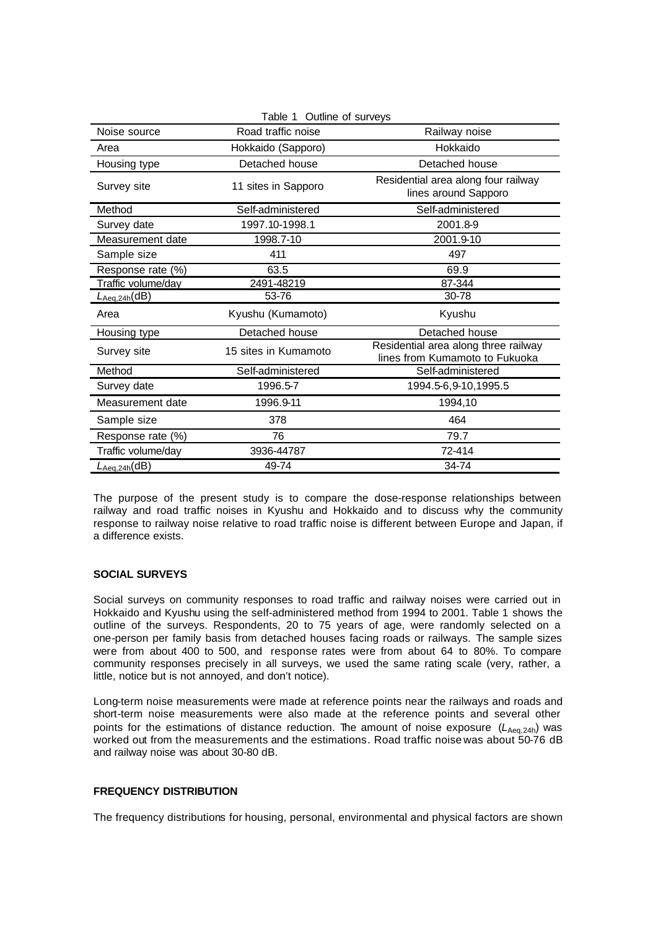| Table 1 Outline of surveys      |                      |                                                                        |  |  |  |  |
|---------------------------------|----------------------|------------------------------------------------------------------------|--|--|--|--|
| Noise source                    | Road traffic noise   | Railway noise                                                          |  |  |  |  |
| Area                            | Hokkaido (Sapporo)   | Hokkaido                                                               |  |  |  |  |
| Housing type                    | Detached house       | Detached house                                                         |  |  |  |  |
| Survey site                     | 11 sites in Sapporo  | Residential area along four railway<br>lines around Sapporo            |  |  |  |  |
| Method                          | Self-administered    | Self-administered                                                      |  |  |  |  |
| Survey date                     | 1997.10-1998.1       | 2001.8-9                                                               |  |  |  |  |
| Measurement date                | 1998.7-10            | 2001.9-10                                                              |  |  |  |  |
| Sample size                     | 411                  | 497                                                                    |  |  |  |  |
| Response rate (%)               | 63.5                 | 69.9                                                                   |  |  |  |  |
| Traffic volume/day              | 2491-48219           | 87-344                                                                 |  |  |  |  |
| $L_{\text{Aeq},24h}(\text{dB})$ | 53-76                | 30-78                                                                  |  |  |  |  |
| Area                            | Kyushu (Kumamoto)    | Kyushu                                                                 |  |  |  |  |
| Housing type                    | Detached house       | Detached house                                                         |  |  |  |  |
| Survey site                     | 15 sites in Kumamoto | Residential area along three railway<br>lines from Kumamoto to Fukuoka |  |  |  |  |
| Method                          | Self-administered    | Self-administered                                                      |  |  |  |  |
| Survey date                     | 1996.5-7             | 1994.5-6,9-10,1995.5                                                   |  |  |  |  |
| Measurement date                | 1996.9-11            | 1994,10                                                                |  |  |  |  |
| Sample size                     | 378                  | 464                                                                    |  |  |  |  |
| Response rate (%)               | 76                   | 79.7                                                                   |  |  |  |  |
| Traffic volume/day              | 3936-44787           | 72-414                                                                 |  |  |  |  |
| $L_{Aea,24h}(dB)$               | 49-74                | 34-74                                                                  |  |  |  |  |

The purpose of the present study is to compare the dose-response relationships between railway and road traffic noises in Kyushu and Hokkaido and to discuss why the community response to railway noise relative to road traffic noise is different between Europe and Japan, if a difference exists.

### **SOCIAL SURVEYS**

Social surveys on community responses to road traffic and railway noises were carried out in Hokkaido and Kyushu using the self-administered method from 1994 to 2001. Table 1 shows the outline of the surveys. Respondents, 20 to 75 years of age, were randomly selected on a one-person per family basis from detached houses facing roads or railways. The sample sizes were from about 400 to 500, and response rates were from about 64 to 80%. To compare community responses precisely in all surveys, we used the same rating scale (very, rather, a little, notice but is not annoyed, and don't notice).

Long-term noise measurements were made at reference points near the railways and roads and short-term noise measurements were also made at the reference points and several other points for the estimations of distance reduction. The amount of noise exposure ( $L_{Aea,24h}$ ) was worked out from the measurements and the estimations. Road traffic noise was about 50-76 dB and railway noise was about 30-80 dB.

## **FREQUENCY DISTRIBUTION**

The frequency distributions for housing, personal, environmental and physical factors are shown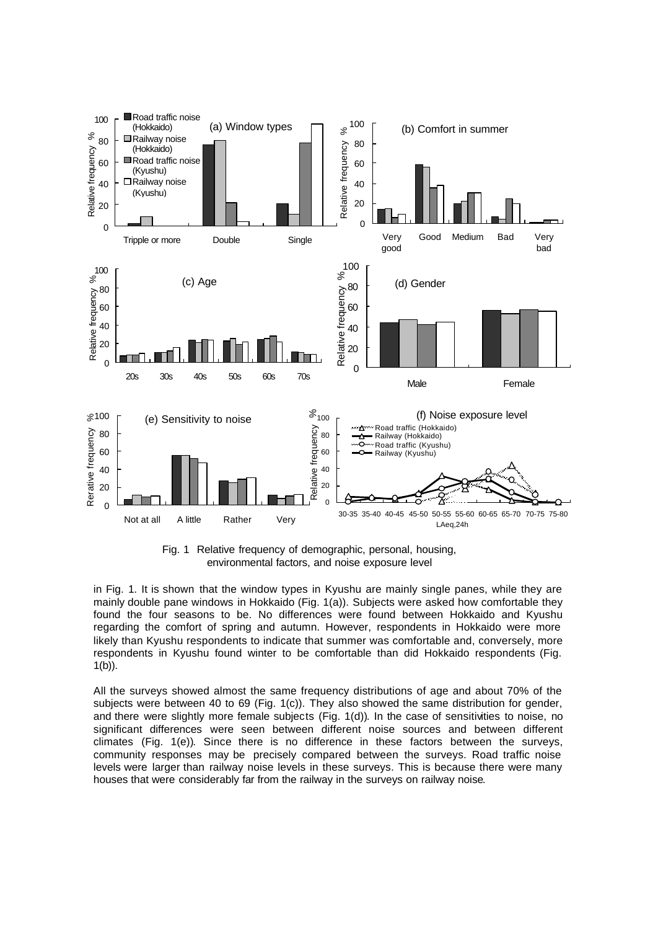

Fig. 1 Relative frequency of demographic, personal, housing, environmental factors, and noise exposure level

in Fig. 1. It is shown that the window types in Kyushu are mainly single panes, while they are mainly double pane windows in Hokkaido (Fig. 1(a)). Subjects were asked how comfortable they found the four seasons to be. No differences were found between Hokkaido and Kyushu regarding the comfort of spring and autumn. However, respondents in Hokkaido were more likely than Kyushu respondents to indicate that summer was comfortable and, conversely, more respondents in Kyushu found winter to be comfortable than did Hokkaido respondents (Fig. 1(b)).

All the surveys showed almost the same frequency distributions of age and about 70% of the subjects were between 40 to 69 (Fig. 1(c)). They also showed the same distribution for gender, and there were slightly more female subjects (Fig. 1(d)). In the case of sensitivities to noise, no significant differences were seen between different noise sources and between different climates (Fig. 1(e)). Since there is no difference in these factors between the surveys, community responses may be precisely compared between the surveys. Road traffic noise levels were larger than railway noise levels in these surveys. This is because there were many houses that were considerably far from the railway in the surveys on railway noise.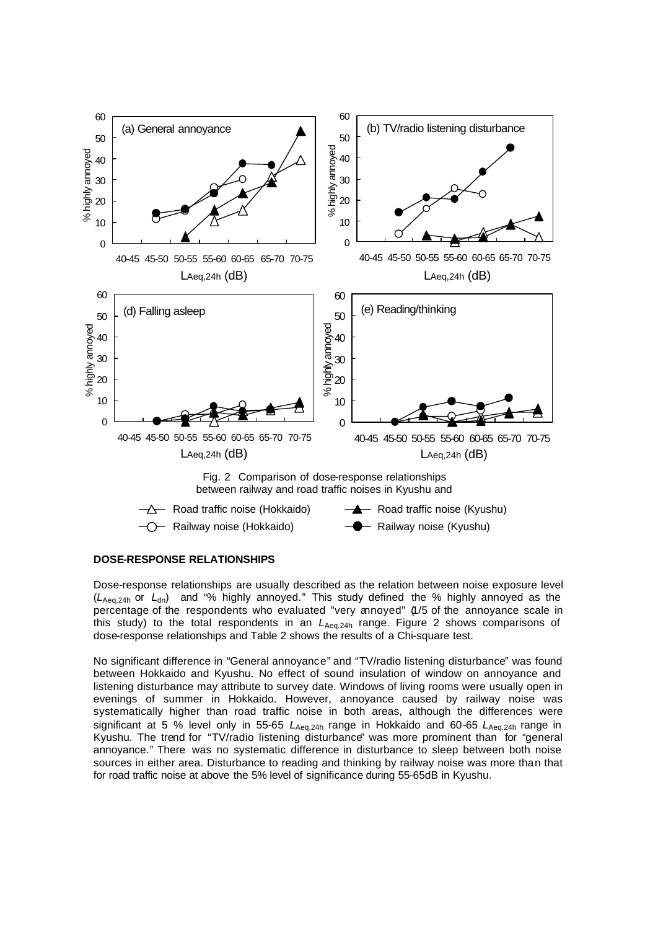



### **DOSE-RESPONSE RELATIONSHIPS**

Dose-response relationships are usually described as the relation between noise exposure level (*L*Aeq,24h or *L*dn) and "% highly annoyed." This study defined the % highly annoyed as the percentage of the respondents who evaluated "very annoyed" (1/5 of the annoyance scale in this study) to the total respondents in an *L*Aeq,24h range. Figure 2 shows comparisons of dose-response relationships and Table 2 shows the results of a Chi-square test.

No significant difference in "General annoyance" and "TV/radio listening disturbance" was found between Hokkaido and Kyushu. No effect of sound insulation of window on annoyance and listening disturbance may attribute to survey date. Windows of living rooms were usually open in evenings of summer in Hokkaido. However, annoyance caused by railway noise was systematically higher than road traffic noise in both areas, although the differences were significant at 5 % level only in 55-65  $L_{Aeq,24h}$  range in Hokkaido and 60-65  $L_{Aeq,24h}$  range in Kyushu. The trend for "TV/radio listening disturbance" was more prominent than for "general annoyance." There was no systematic difference in disturbance to sleep between both noise sources in either area. Disturbance to reading and thinking by railway noise was more than that for road traffic noise at above the 5% level of significance during 55-65dB in Kyushu.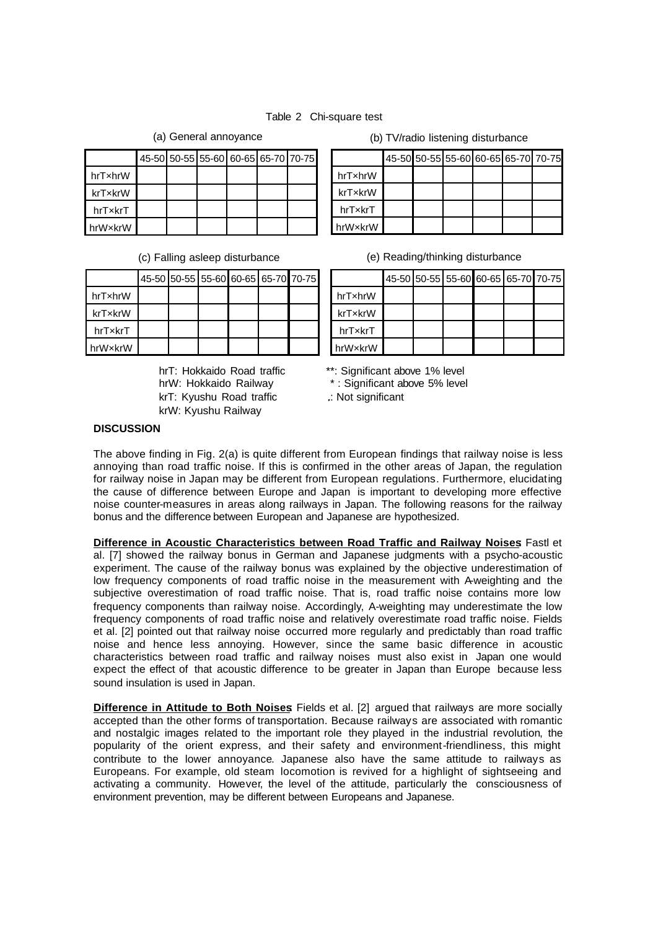## Table 2 Chi-square test

|         |  |  | 45-50 50-55 55-60 60-65 65-70 70-75 |  |
|---------|--|--|-------------------------------------|--|
| hrTxhrW |  |  |                                     |  |
| krTxkrW |  |  |                                     |  |
| hrTxkrT |  |  |                                     |  |
| hrWxkrW |  |  |                                     |  |

|         |  |  | 45-50 50-55 55-60 60-65 65-70 70-75 |  |
|---------|--|--|-------------------------------------|--|
| hrTxhrW |  |  |                                     |  |
| krTxkrW |  |  |                                     |  |
| hrTxkrT |  |  |                                     |  |
| hrWxkrW |  |  |                                     |  |

hrW: Hokkaido Railway \*: Significant above 5% level krT: Kyushu Road traffic : Not significant krW: Kyushu Railway

(a) General annoyance (b) TV/radio listening disturbance

|         | 45-50 50-55 55-60 60-65 65-70 70-75 |  |  |
|---------|-------------------------------------|--|--|
| hrTxhrW |                                     |  |  |
| krTxkrW |                                     |  |  |
| hrTxkrT |                                     |  |  |
| hrWxkrW |                                     |  |  |

(c) Falling asleep disturbance (e) Reading/thinking disturbance

|         |  |  | 45-50 50-55 55-60 60-65 65-70 70-75 |  |
|---------|--|--|-------------------------------------|--|
| hrTxhrW |  |  |                                     |  |
| krTxkrW |  |  |                                     |  |
| hrTxkrT |  |  |                                     |  |
| hrWxkrW |  |  |                                     |  |

hrT: Hokkaido Road traffic \*\*: Significant above 1% level

## **DISCUSSION**

The above finding in Fig. 2(a) is quite different from European findings that railway noise is less annoying than road traffic noise. If this is confirmed in the other areas of Japan, the regulation for railway noise in Japan may be different from European regulations. Furthermore, elucidating the cause of difference between Europe and Japan is important to developing more effective noise counter-measures in areas along railways in Japan. The following reasons for the railway bonus and the difference between European and Japanese are hypothesized.

**Difference in Acoustic Characteristics between Road Traffic and Railway Noises**: Fastl et al. [7] showed the railway bonus in German and Japanese judgments with a psycho-acoustic experiment. The cause of the railway bonus was explained by the objective underestimation of low frequency components of road traffic noise in the measurement with A-weighting and the subjective overestimation of road traffic noise. That is, road traffic noise contains more low frequency components than railway noise. Accordingly, A-weighting may underestimate the low frequency components of road traffic noise and relatively overestimate road traffic noise. Fields et al. [2] pointed out that railway noise occurred more regularly and predictably than road traffic noise and hence less annoying. However, since the same basic difference in acoustic characteristics between road traffic and railway noises must also exist in Japan one would expect the effect of that acoustic difference to be greater in Japan than Europe because less sound insulation is used in Japan.

**Difference in Attitude to Both Noises** Fields et al. [2] argued that railways are more socially accepted than the other forms of transportation. Because railways are associated with romantic and nostalgic images related to the important role they played in the industrial revolution, the popularity of the orient express, and their safety and environment-friendliness, this might contribute to the lower annoyance. Japanese also have the same attitude to railways as Europeans. For example, old steam locomotion is revived for a highlight of sightseeing and activating a community. However, the level of the attitude, particularly the consciousness of environment prevention, may be different between Europeans and Japanese.